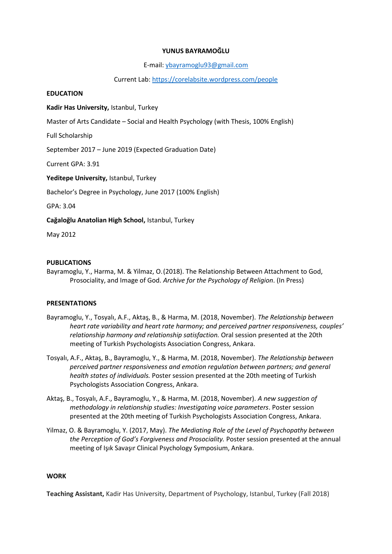## **YUNUS BAYRAMOĞLU**

E-mail[: ybayramoglu93@gmail.com](mailto:ybayramoglu93@gmail.com) 

Current Lab:<https://corelabsite.wordpress.com/people>

#### **EDUCATION**

**Kadir Has University,** Istanbul, Turkey

Master of Arts Candidate – Social and Health Psychology (with Thesis, 100% English)

Full Scholarship

September 2017 – June 2019 (Expected Graduation Date)

Current GPA: 3.91

**Yeditepe University,** Istanbul, Turkey

Bachelor's Degree in Psychology, June 2017 (100% English)

GPA: 3.04

**Cağaloğlu Anatolian High School,** Istanbul, Turkey

May 2012

#### **PUBLICATIONS**

Bayramoglu, Y., Harma, M. & Yilmaz, O. (2018). The Relationship Between Attachment to God, Prosociality, and Image of God. *Archive for the Psychology of Religion*. (In Press)

## **PRESENTATIONS**

- Bayramoglu, Y., Tosyalı, A.F., Aktaş, B., & Harma, M. (2018, November). *The Relationship between heart rate variability and heart rate harmony; and perceived partner responsiveness, couples' relationship harmony and relationship satisfaction.* Oral session presented at the 20th meeting of Turkish Psychologists Association Congress, Ankara.
- Tosyalı, A.F., Aktaş, B., Bayramoglu, Y., & Harma, M. (2018, November). *The Relationship between perceived partner responsiveness and emotion regulation between partners; and general health states of individuals.* Poster session presented at the 20th meeting of Turkish Psychologists Association Congress, Ankara.
- Aktaş, B., Tosyalı, A.F., Bayramoglu, Y., & Harma, M. (2018, November). *A new suggestion of methodology in relationship studies: Investigating voice parameters*. Poster session presented at the 20th meeting of Turkish Psychologists Association Congress, Ankara.
- Yilmaz, O. & Bayramoglu, Y. (2017, May). *The Mediating Role of the Level of Psychopathy between the Perception of God's Forgiveness and Prosociality.* Poster session presented at the annual meeting of Işık Savaşır Clinical Psychology Symposium, Ankara.

## **WORK**

**Teaching Assistant,** Kadir Has University, Department of Psychology, Istanbul, Turkey (Fall 2018)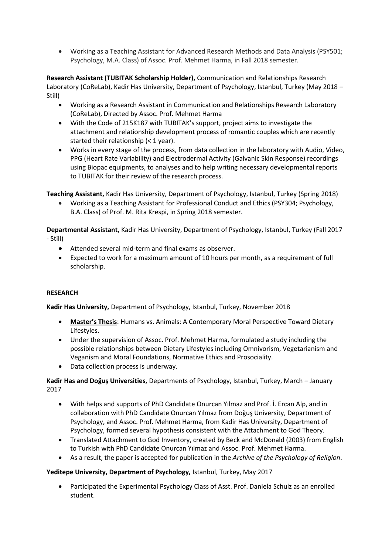Working as a Teaching Assistant for Advanced Research Methods and Data Analysis (PSY501; Psychology, M.A. Class) of Assoc. Prof. Mehmet Harma, in Fall 2018 semester.

**Research Assistant (TUBITAK Scholarship Holder),** Communication and Relationships Research Laboratory (CoReLab), Kadir Has University, Department of Psychology, Istanbul, Turkey (May 2018 – Still)

- Working as a Research Assistant in Communication and Relationships Research Laboratory (CoReLab), Directed by Assoc. Prof. Mehmet Harma
- With the Code of 215K187 with TUBITAK's support, project aims to investigate the attachment and relationship development process of romantic couples which are recently started their relationship (< 1 year).
- Works in every stage of the process, from data collection in the laboratory with Audio, Video, PPG (Heart Rate Variability) and Electrodermal Activity (Galvanic Skin Response) recordings using Biopac equipments, to analyses and to help writing necessary developmental reports to TUBITAK for their review of the research process.

**Teaching Assistant,** Kadir Has University, Department of Psychology, Istanbul, Turkey (Spring 2018)

 Working as a Teaching Assistant for Professional Conduct and Ethics (PSY304; Psychology, B.A. Class) of Prof. M. Rita Krespi, in Spring 2018 semester.

**Departmental Assistant,** Kadir Has University, Department of Psychology, Istanbul, Turkey (Fall 2017 - Still)

- Attended several mid-term and final exams as observer.
- Expected to work for a maximum amount of 10 hours per month, as a requirement of full scholarship.

# **RESEARCH**

**Kadir Has University,** Department of Psychology, Istanbul, Turkey, November 2018

- **Master's Thesis**: Humans vs. Animals: A Contemporary Moral Perspective Toward Dietary Lifestyles.
- Under the supervision of Assoc. Prof. Mehmet Harma, formulated a study including the possible relationships between Dietary Lifestyles including Omnivorism, Vegetarianism and Veganism and Moral Foundations, Normative Ethics and Prosociality.
- Data collection process is underway.

**Kadir Has and Doğuş Universities,** Departments of Psychology, Istanbul, Turkey, March – January 2017

- With helps and supports of PhD Candidate Onurcan Yılmaz and Prof. İ. Ercan Alp, and in collaboration with PhD Candidate Onurcan Yılmaz from Doğuş University, Department of Psychology, and Assoc. Prof. Mehmet Harma, from Kadir Has University, Department of Psychology, formed several hypothesis consistent with the Attachment to God Theory.
- Translated Attachment to God Inventory, created by Beck and McDonald (2003) from English to Turkish with PhD Candidate Onurcan Yılmaz and Assoc. Prof. Mehmet Harma.
- As a result, the paper is accepted for publication in the *Archive of the Psychology of Religion*.

## **Yeditepe University, Department of Psychology,** Istanbul, Turkey, May 2017

 Participated the Experimental Psychology Class of Asst. Prof. Daniela Schulz as an enrolled student.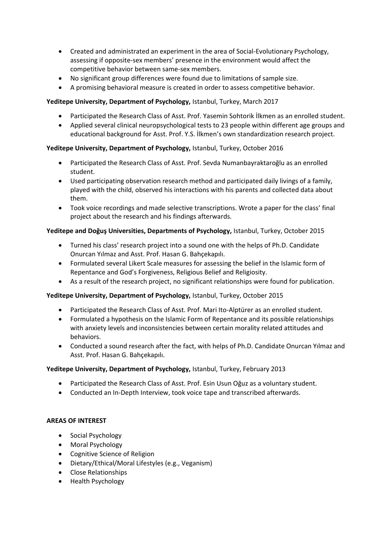- Created and administrated an experiment in the area of Social-Evolutionary Psychology, assessing if opposite-sex members' presence in the environment would affect the competitive behavior between same-sex members.
- No significant group differences were found due to limitations of sample size.
- A promising behavioral measure is created in order to assess competitive behavior.

## **Yeditepe University, Department of Psychology,** Istanbul, Turkey, March 2017

- Participated the Research Class of Asst. Prof. Yasemin Sohtorik İlkmen as an enrolled student.
- Applied several clinical neuropsychological tests to 23 people within different age groups and educational background for Asst. Prof. Y.S. İlkmen's own standardization research project.

# **Yeditepe University, Department of Psychology,** Istanbul, Turkey, October 2016

- Participated the Research Class of Asst. Prof. Sevda Numanbayraktaroğlu as an enrolled student.
- Used participating observation research method and participated daily livings of a family, played with the child, observed his interactions with his parents and collected data about them.
- Took voice recordings and made selective transcriptions. Wrote a paper for the class' final project about the research and his findings afterwards.

## **Yeditepe and Doğuş Universities, Departments of Psychology,** Istanbul, Turkey, October 2015

- Turned his class' research project into a sound one with the helps of Ph.D. Candidate Onurcan Yılmaz and Asst. Prof. Hasan G. Bahçekapılı.
- Formulated several Likert Scale measures for assessing the belief in the Islamic form of Repentance and God's Forgiveness, Religious Belief and Religiosity.
- As a result of the research project, no significant relationships were found for publication.

## **Yeditepe University, Department of Psychology,** Istanbul, Turkey, October 2015

- Participated the Research Class of Asst. Prof. Mari Ito-Alptürer as an enrolled student.
- Formulated a hypothesis on the Islamic Form of Repentance and its possible relationships with anxiety levels and inconsistencies between certain morality related attitudes and behaviors.
- Conducted a sound research after the fact, with helps of Ph.D. Candidate Onurcan Yılmaz and Asst. Prof. Hasan G. Bahçekapılı.

## **Yeditepe University, Department of Psychology,** Istanbul, Turkey, February 2013

- Participated the Research Class of Asst. Prof. Esin Usun Oğuz as a voluntary student.
- Conducted an In-Depth Interview, took voice tape and transcribed afterwards.

## **AREAS OF INTEREST**

- Social Psychology
- Moral Psychology
- Cognitive Science of Religion
- Dietary/Ethical/Moral Lifestyles (e.g., Veganism)
- Close Relationships
- Health Psychology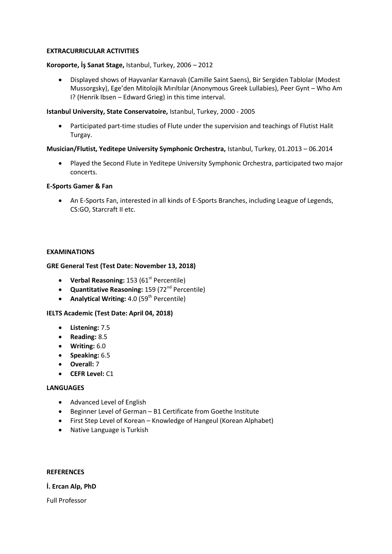## **EXTRACURRICULAR ACTIVITIES**

#### **Koroporte, İş Sanat Stage,** Istanbul, Turkey, 2006 – 2012

 Displayed shows of Hayvanlar Karnavalı (Camille Saint Saens), Bir Sergiden Tablolar (Modest Mussorgsky), Ege'den Mitolojik Mırıltılar (Anonymous Greek Lullabies), Peer Gynt – Who Am I? (Henrik Ibsen – Edward Grieg) in this time interval.

#### **Istanbul University, State Conservatoire,** Istanbul, Turkey, 2000 - 2005

 Participated part-time studies of Flute under the supervision and teachings of Flutist Halit Turgay.

#### **Musician/Flutist, Yeditepe University Symphonic Orchestra,** Istanbul, Turkey, 01.2013 – 06.2014

 Played the Second Flute in Yeditepe University Symphonic Orchestra, participated two major concerts.

#### **E-Sports Gamer & Fan**

 An E-Sports Fan, interested in all kinds of E-Sports Branches, including League of Legends, CS:GO, Starcraft II etc.

#### **EXAMINATIONS**

#### **GRE General Test (Test Date: November 13, 2018)**

- **•** Verbal Reasoning: 153 (61<sup>st</sup> Percentile)
- **•** Quantitative Reasoning: 159 (72<sup>nd</sup> Percentile)
- **•** Analytical Writing: 4.0 (59<sup>th</sup> Percentile)

## **IELTS Academic (Test Date: April 04, 2018)**

- **Listening:** 7.5
- **Reading:** 8.5
- **Writing:** 6.0
- **•** Speaking: 6.5
- **Overall:** 7
- **CEFR Level:** C1

#### **LANGUAGES**

- Advanced Level of English
- Beginner Level of German B1 Certificate from Goethe Institute
- First Step Level of Korean Knowledge of Hangeul (Korean Alphabet)
- Native Language is Turkish

#### **REFERENCES**

**İ. Ercan Alp, PhD** 

Full Professor